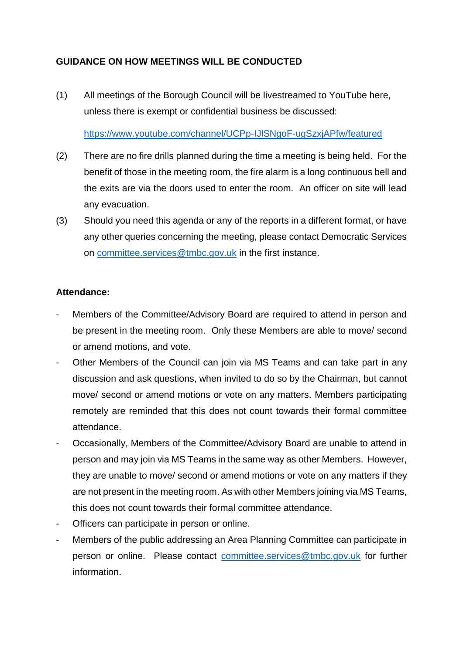## **GUIDANCE ON HOW MEETINGS WILL BE CONDUCTED**

(1) All meetings of the Borough Council will be livestreamed to YouTube here, unless there is exempt or confidential business be discussed:

<https://www.youtube.com/channel/UCPp-IJlSNgoF-ugSzxjAPfw/featured>

- (2) There are no fire drills planned during the time a meeting is being held. For the benefit of those in the meeting room, the fire alarm is a long continuous bell and the exits are via the doors used to enter the room. An officer on site will lead any evacuation.
- (3) Should you need this agenda or any of the reports in a different format, or have any other queries concerning the meeting, please contact Democratic Services on [committee.services@tmbc.gov.uk](mailto:committee.services@tmbc.gov.uk) in the first instance.

## **Attendance:**

- Members of the Committee/Advisory Board are required to attend in person and be present in the meeting room. Only these Members are able to move/ second or amend motions, and vote.
- Other Members of the Council can join via MS Teams and can take part in any discussion and ask questions, when invited to do so by the Chairman, but cannot move/ second or amend motions or vote on any matters. Members participating remotely are reminded that this does not count towards their formal committee attendance.
- Occasionally, Members of the Committee/Advisory Board are unable to attend in person and may join via MS Teams in the same way as other Members. However, they are unable to move/ second or amend motions or vote on any matters if they are not present in the meeting room. As with other Members joining via MS Teams, this does not count towards their formal committee attendance.
- Officers can participate in person or online.
- Members of the public addressing an Area Planning Committee can participate in person or online. Please contact [committee.services@tmbc.gov.uk](mailto:committee.services@tmbc.gov.uk) for further information.